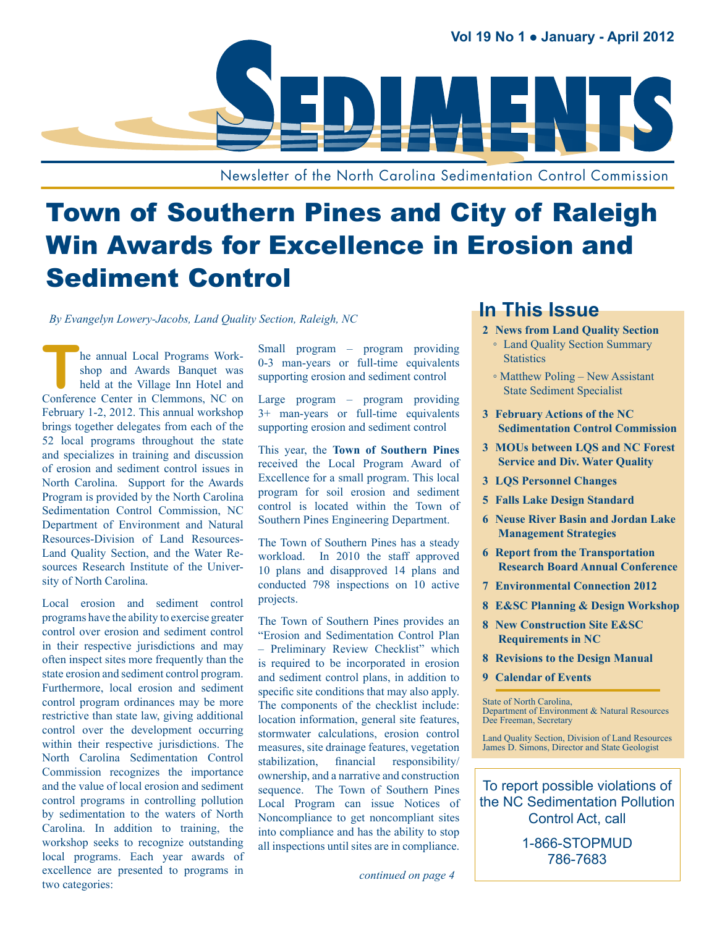

Newsletter of the North Carolina Sedimentation Control Commission

# Town of Southern Pines and City of Raleigh Win Awards for Excellence in Erosion and Sediment Control

**In This Issue** *By Evangelyn Lowery-Jacobs, Land Quality Section, Raleigh, NC*

**The annual Local Programs Work-<br>
Shop and Awards Banquet was<br>
held at the Village Inn Hotel and<br>
Conference Center in Clammons NC on** shop and Awards Banquet was held at the Village Inn Hotel and Conference Center in Clemmons, NC on February 1-2, 2012. This annual workshop brings together delegates from each of the 52 local programs throughout the state and specializes in training and discussion of erosion and sediment control issues in North Carolina. Support for the Awards Program is provided by the North Carolina Sedimentation Control Commission, NC Department of Environment and Natural Resources-Division of Land Resources-Land Quality Section, and the Water Resources Research Institute of the University of North Carolina.

Local erosion and sediment control programs have the ability to exercise greater control over erosion and sediment control in their respective jurisdictions and may often inspect sites more frequently than the state erosion and sediment control program. Furthermore, local erosion and sediment control program ordinances may be more restrictive than state law, giving additional control over the development occurring within their respective jurisdictions. The North Carolina Sedimentation Control Commission recognizes the importance and the value of local erosion and sediment control programs in controlling pollution by sedimentation to the waters of North Carolina. In addition to training, the workshop seeks to recognize outstanding local programs. Each year awards of excellence are presented to programs in two categories:

Small program – program providing 0-3 man-years or full-time equivalents supporting erosion and sediment control

Large program – program providing 3+ man-years or full-time equivalents supporting erosion and sediment control

This year, the **Town of Southern Pines**  received the Local Program Award of Excellence for a small program. This local program for soil erosion and sediment control is located within the Town of Southern Pines Engineering Department.

The Town of Southern Pines has a steady workload. In 2010 the staff approved 10 plans and disapproved 14 plans and conducted 798 inspections on 10 active projects.

The Town of Southern Pines provides an "Erosion and Sedimentation Control Plan – Preliminary Review Checklist" which is required to be incorporated in erosion and sediment control plans, in addition to specific site conditions that may also apply. The components of the checklist include: location information, general site features, stormwater calculations, erosion control measures, site drainage features, vegetation stabilization, financial responsibility/ ownership, and a narrative and construction sequence. The Town of Southern Pines Local Program can issue Notices of Noncompliance to get noncompliant sites into compliance and has the ability to stop all inspections until sites are in compliance.

*continued on page 4*

- **2 [News from Land Quality Section](#page-8-0)** ◦ [Land Quality Section Summary](#page-8-0)  **[Statistics](#page-8-0)** 
	- [Matthew Poling New Assistant](#page-8-0)  [State Sediment Specialist](#page-8-0)
- **3 [February Actions of the NC](#page-8-0)  [Sedimentation Control Commission](#page-8-0)**
- **3 [MOUs between LQS and NC Forest](#page-8-0)  [Service and Div. Water Quality](#page-8-0)**
- **3 [LQS Personnel Changes](#page-8-0)**
- **5 [Falls Lake Design Standard](#page-8-0)**
- **6 [Neuse River Basin and Jordan Lake](#page-8-0)  [Management Strategies](#page-8-0)**
- **6 [Report from the Transportation](#page-8-0)  [Research Board Annual Conference](#page-8-0)**
- **7 [Environmental Connection 2012](#page-8-0)**
- **8 [E&SC Planning & Design Workshop](#page-8-0)**
- **8 [New Construction Site E&SC](#page-8-0)  [Requirements in NC](#page-8-0)**
- **8 [Revisions to the Design Manual](#page-8-0)**
- **9 [Calendar of Events](#page-8-0)**

State of North Carolina, Department of Environment & Natural Resources Dee Freeman, Secretary

Land Quality Section, Division of Land Resources James D. Simons, Director and State Geologist

To report possible violations of the NC Sedimentation Pollution Control Act, call

> 1-866-STOPMUD 786-7683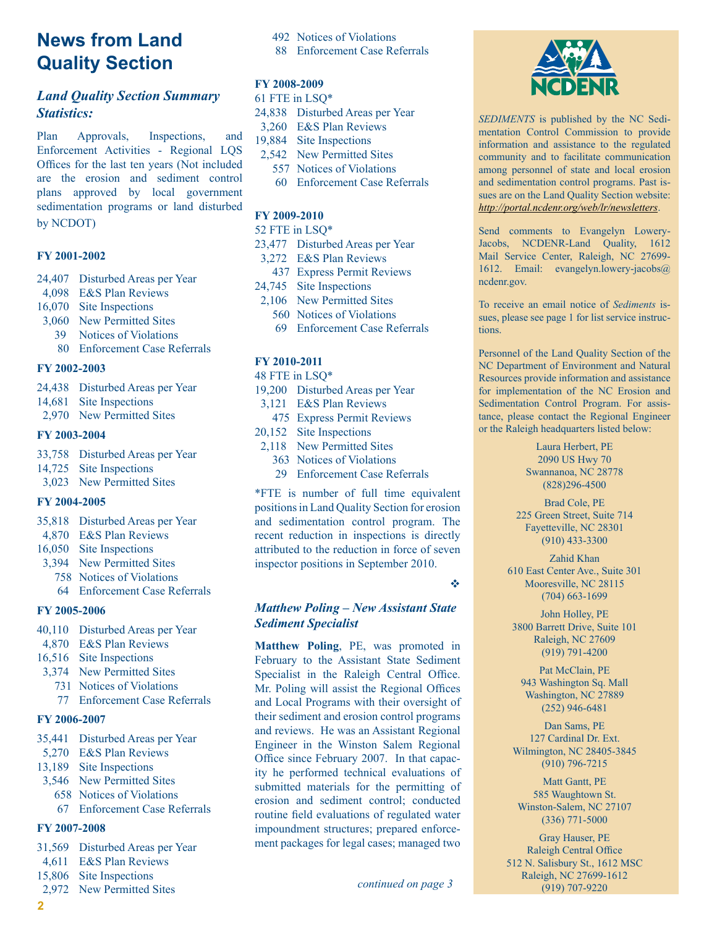# **News from Land Quality Section**

#### *Land Quality Section Summary Statistics:*

Plan Approvals, Inspections, and Enforcement Activities - Regional LQS Offices for the last ten years (Not included are the erosion and sediment control plans approved by local government sedimentation programs or land disturbed by NCDOT)

#### **FY 2001-2002**

- 24,407 Disturbed Areas per Year
- 4,098 E&S Plan Reviews
- 16,070 Site Inspections
- 3,060 New Permitted Sites
	- 39 Notices of Violations
	- 80 Enforcement Case Referrals

#### **FY 2002-2003**

- 24,438 Disturbed Areas per Year
- 14,681 Site Inspections
- 2,970 New Permitted Sites

#### **FY 2003-2004**

- 33,758 Disturbed Areas per Year
- 14,725 Site Inspections
- 3,023 New Permitted Sites

#### **FY 2004-2005**

- 35,818 Disturbed Areas per Year
- 4,870 E&S Plan Reviews
- 16,050 Site Inspections
- 3,394 New Permitted Sites
	- 758 Notices of Violations
	- 64 Enforcement Case Referrals

#### **FY 2005-2006**

- 40,110 Disturbed Areas per Year
- 4,870 E&S Plan Reviews
- 16,516 Site Inspections
- 3,374 New Permitted Sites
	- 731 Notices of Violations
	- 77 Enforcement Case Referrals

#### **FY 2006-2007**

- 35,441 Disturbed Areas per Year
- 5,270 E&S Plan Reviews
- 13,189 Site Inspections
- 3,546 New Permitted Sites
	- 658 Notices of Violations
	- 67 Enforcement Case Referrals

#### **FY 2007-2008**

- 31,569 Disturbed Areas per Year
- 4,611 E&S Plan Reviews
- 15,806 Site Inspections
- 2,972 New Permitted Sites
- 492 Notices of Violations
- 88 Enforcement Case Referrals

#### **FY 2008-2009**

- 61 FTE in LSQ\*
- 24,838 Disturbed Areas per Year
- 3,260 E&S Plan Reviews
- 19,884 Site Inspections 2,542 New Permitted Sites
	- 557 Notices of Violations
	- 60 Enforcement Case Referrals

#### **FY 2009-2010**

52 FTE in LSQ\*

- 23,477 Disturbed Areas per Year
- 3,272 E&S Plan Reviews
	- 437 Express Permit Reviews
- 24,745 Site Inspections
- 2,106 New Permitted Sites
	- 560 Notices of Violations
	- 69 Enforcement Case Referrals

#### **FY 2010-2011**

- 48 FTE in LSQ\*
- 19,200 Disturbed Areas per Year
- 3,121 E&S Plan Reviews
- 475 Express Permit Reviews
- 20,152 Site Inspections
- 2,118 New Permitted Sites
	- 363 Notices of Violations
	- 29 Enforcement Case Referrals

\*FTE is number of full time equivalent positions in Land Quality Section for erosion and sedimentation control program. The recent reduction in inspections is directly attributed to the reduction in force of seven inspector positions in September 2010.

v

#### *Matthew Poling – New Assistant State Sediment Specialist*

**Matthew Poling**, PE, was promoted in February to the Assistant State Sediment Specialist in the Raleigh Central Office. Mr. Poling will assist the Regional Offices and Local Programs with their oversight of their sediment and erosion control programs and reviews. He was an Assistant Regional Engineer in the Winston Salem Regional Office since February 2007. In that capacity he performed technical evaluations of submitted materials for the permitting of erosion and sediment control; conducted routine field evaluations of regulated water impoundment structures; prepared enforcement packages for legal cases; managed two



*Sediments* is published by the NC Sedimentation Control Commission to provide information and assistance to the regulated community and to facilitate communication among personnel of state and local erosion and sedimentation control programs. Past issues are on the Land Quality Section website: *<http://portal.ncdenr.org/web/lr/newsletters>*.

Send comments to Evangelyn Lowery-Jacobs, NCDENR-Land Quality, 1612 Mail Service Center, Raleigh, NC 27699- 1612. Email: [evangelyn.lowery-jacobs@](mailto:evangelyn.lowery-jacobs@ncdenr.gov) [ncdenr.gov.](mailto:evangelyn.lowery-jacobs@ncdenr.gov)

To receive an email notice of *Sediments* issues, please see page 1 for list service instructions.

Personnel of the Land Quality Section of the NC Department of Environment and Natural Resources provide information and assistance for implementation of the NC Erosion and Sedimentation Control Program. For assistance, please contact the Regional Engineer or the Raleigh headquarters listed below:

> Laura Herbert, PE 2090 US Hwy 70 Swannanoa, NC 28778 (828)296-4500

Brad Cole, PE 225 Green Street, Suite 714 Fayetteville, NC 28301 (910) 433-3300

Zahid Khan 610 East Center Ave., Suite 301 Mooresville, NC 28115 (704) 663-1699

John Holley, PE 3800 Barrett Drive, Suite 101 Raleigh, NC 27609 (919) 791-4200

Pat McClain, PE 943 Washington Sq. Mall Washington, NC 27889 (252) 946-6481

Dan Sams, PE 127 Cardinal Dr. Ext. Wilmington, NC 28405-3845 (910) 796-7215

Matt Gantt, PE 585 Waughtown St. Winston-Salem, NC 27107 (336) 771-5000

Gray Hauser, PE Raleigh Central Office 512 N. Salisbury St., 1612 MSC Raleigh, NC 27699-1612 (919) 707-9220 *continued on page 3*

**2**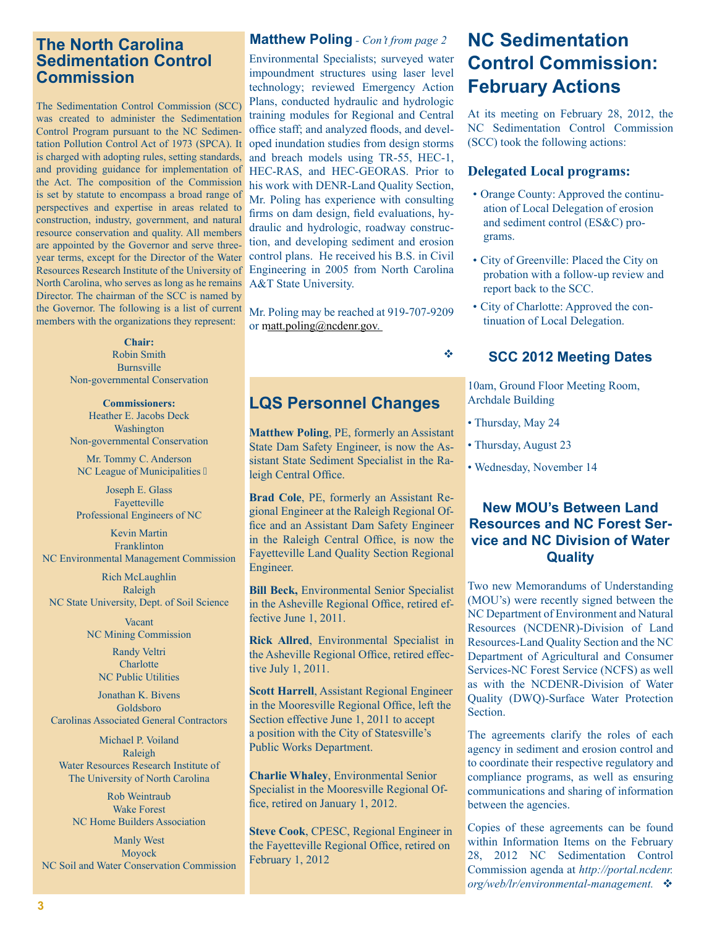### **The North Carolina Sedimentation Control Commission**

The Sedimentation Control Commission (SCC) was created to administer the Sedimentation Control Program pursuant to the NC Sedimentation Pollution Control Act of 1973 (SPCA). It is charged with adopting rules, setting standards, and providing guidance for implementation of the Act. The composition of the Commission is set by statute to encompass a broad range of perspectives and expertise in areas related to construction, industry, government, and natural resource conservation and quality. All members are appointed by the Governor and serve threeyear terms, except for the Director of the Water Resources Research Institute of the University of North Carolina, who serves as long as he remains Director. The chairman of the SCC is named by the Governor. The following is a list of current members with the organizations they represent:

> **Chair:**  Robin Smith Burnsville Non-governmental Conservation

> **Commissioners:**  Heather E. Jacobs Deck Washington Non-governmental Conservation

Mr. Tommy C. Anderson NC League of Municipalities

Joseph E. Glass Fayetteville Professional Engineers of NC

Kevin Martin Franklinton NC Environmental Management Commission

Rich McLaughlin Raleigh NC State University, Dept. of Soil Science

> Vacant NC Mining Commission

> > Randy Veltri **Charlotte** NC Public Utilities

Jonathan K. Bivens Goldsboro Carolinas Associated General Contractors

Michael P. Voiland Raleigh Water Resources Research Institute of The University of North Carolina

Rob Weintraub Wake Forest NC Home Builders Association

Manly West Moyock NC Soil and Water Conservation Commission

#### **Matthew Poling** *- Con't from page 2* **NC Sedimentation**

Environmental Specialists; surveyed water impoundment structures using laser level technology; reviewed Emergency Action Plans, conducted hydraulic and hydrologic training modules for Regional and Central office staff; and analyzed floods, and developed inundation studies from design storms and breach models using TR-55, HEC-1, HEC-RAS, and HEC-GEORAS. Prior to his work with DENR-Land Quality Section, Mr. Poling has experience with consulting firms on dam design, field evaluations, hydraulic and hydrologic, roadway construction, and developing sediment and erosion control plans. He received his B.S. in Civil Engineering in 2005 from North Carolina A&T State University.

Mr. Poling may be reached at 919-707-9209 or [matt.poling@ncdenr.gov.](mailto:matt.poling@ncdenr.gov)

## **LQS Personnel Changes**

**Matthew Poling**, PE, formerly an Assistant State Dam Safety Engineer, is now the Assistant State Sediment Specialist in the Raleigh Central Office.

**Brad Cole**, PE, formerly an Assistant Regional Engineer at the Raleigh Regional Office and an Assistant Dam Safety Engineer in the Raleigh Central Office, is now the Fayetteville Land Quality Section Regional Engineer.

**Bill Beck,** Environmental Senior Specialist in the Asheville Regional Office, retired effective June 1, 2011.

**Rick Allred**, Environmental Specialist in the Asheville Regional Office, retired effective July 1, 2011.

**Scott Harrell**, Assistant Regional Engineer in the Mooresville Regional Office, left the Section effective June 1, 2011 to accept a position with the City of Statesville's Public Works Department.

**Charlie Whaley**, Environmental Senior Specialist in the Mooresville Regional Office, retired on January 1, 2012.

**Steve Cook**, CPESC, Regional Engineer in the Fayetteville Regional Office, retired on February 1, 2012

# **Control Commission: February Actions**

At its meeting on February 28, 2012, the NC Sedimentation Control Commission (SCC) took the following actions:

#### **Delegated Local programs:**

- Orange County: Approved the continuation of Local Delegation of erosion and sediment control (ES&C) programs.
- City of Greenville: Placed the City on probation with a follow-up review and report back to the SCC.
- City of Charlotte: Approved the continuation of Local Delegation.

#### **SCC 2012 Meeting Dates**

10am, Ground Floor Meeting Room, Archdale Building

• Thursday, May 24

v

- Thursday, August 23
- Wednesday, November 14

### **New MOU's Between Land Resources and NC Forest Service and NC Division of Water Quality**

Two new Memorandums of Understanding (MOU's) were recently signed between the NC Department of Environment and Natural Resources (NCDENR)-Division of Land Resources-Land Quality Section and the NC Department of Agricultural and Consumer Services-NC Forest Service (NCFS) as well as with the NCDENR-Division of Water Quality (DWQ)-Surface Water Protection Section.

The agreements clarify the roles of each agency in sediment and erosion control and to coordinate their respective regulatory and compliance programs, as well as ensuring communications and sharing of information between the agencies.

Copies of these agreements can be found within Information Items on the February 28, 2012 NC Sedimentation Control Commission agenda at *[http://portal.ncdenr.](http://portal.ncdenr.org/web/lr/environmental-management) [org/web/lr/environmental-management.](http://portal.ncdenr.org/web/lr/environmental-management)*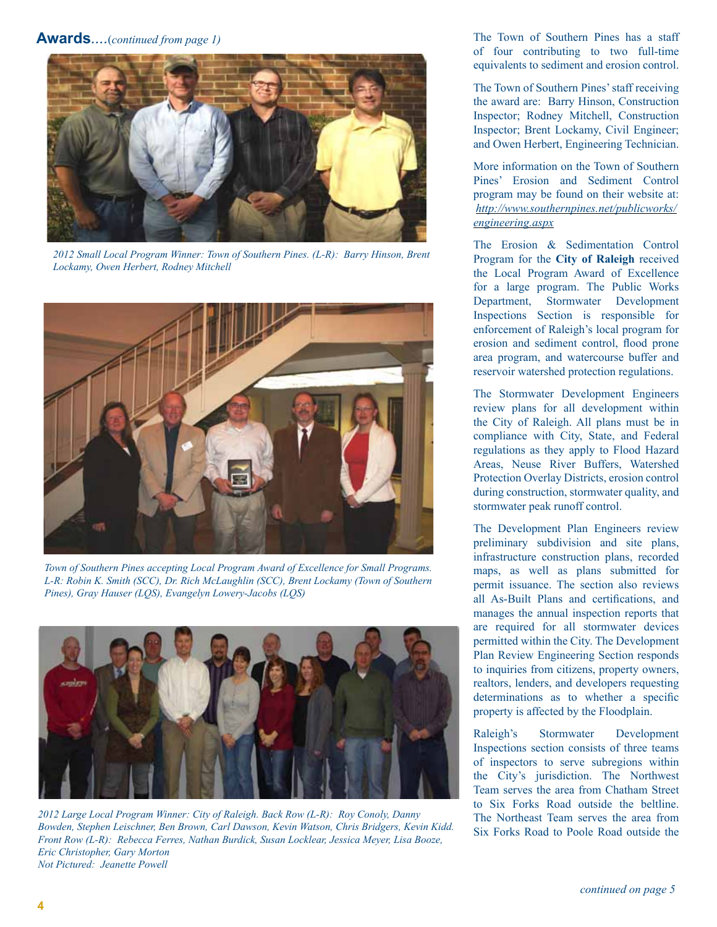#### **Awards***....*(*continued from page 1)*



*2012 Small Local Program Winner: Town of Southern Pines. (L-R): Barry Hinson, Brent Lockamy, Owen Herbert, Rodney Mitchell*



*Town of Southern Pines accepting Local Program Award of Excellence for Small Programs. L-R: Robin K. Smith (SCC), Dr. Rich McLaughlin (SCC), Brent Lockamy (Town of Southern Pines), Gray Hauser (LQS), Evangelyn Lowery-Jacobs (LQS)* 



*2012 Large Local Program Winner: City of Raleigh. Back Row (L-R): Roy Conoly, Danny Bowden, Stephen Leischner, Ben Brown, Carl Dawson, Kevin Watson, Chris Bridgers, Kevin Kidd. Front Row (L-R): Rebecca Ferres, Nathan Burdick, Susan Locklear, Jessica Meyer, Lisa Booze, Eric Christopher, Gary Morton Not Pictured: Jeanette Powell*

The Town of Southern Pines has a staff of four contributing to two full-time equivalents to sediment and erosion control.

The Town of Southern Pines' staff receiving the award are: Barry Hinson, Construction Inspector; Rodney Mitchell, Construction Inspector; Brent Lockamy, Civil Engineer; and Owen Herbert, Engineering Technician.

More information on the Town of Southern Pines' Erosion and Sediment Control program may be found on their website at: *[http://www.southernpines.net/publicworks/](http://www.southernpines.net/publicworks/engineering.aspx) [engineering.aspx](http://www.southernpines.net/publicworks/engineering.aspx)*

The Erosion & Sedimentation Control Program for the **City of Raleigh** received the Local Program Award of Excellence for a large program. The Public Works Department, Stormwater Development Inspections Section is responsible for enforcement of Raleigh's local program for erosion and sediment control, flood prone area program, and watercourse buffer and reservoir watershed protection regulations.

The Stormwater Development Engineers review plans for all development within the City of Raleigh. All plans must be in compliance with City, State, and Federal regulations as they apply to Flood Hazard Areas, Neuse River Buffers, Watershed Protection Overlay Districts, erosion control during construction, stormwater quality, and stormwater peak runoff control.

The Development Plan Engineers review preliminary subdivision and site plans, infrastructure construction plans, recorded maps, as well as plans submitted for permit issuance. The section also reviews all As-Built Plans and certifications, and manages the annual inspection reports that are required for all stormwater devices permitted within the City. The Development Plan Review Engineering Section responds to inquiries from citizens, property owners, realtors, lenders, and developers requesting determinations as to whether a specific property is affected by the Floodplain.

Raleigh's Stormwater Development Inspections section consists of three teams of inspectors to serve subregions within the City's jurisdiction. The Northwest Team serves the area from Chatham Street to Six Forks Road outside the beltline. The Northeast Team serves the area from Six Forks Road to Poole Road outside the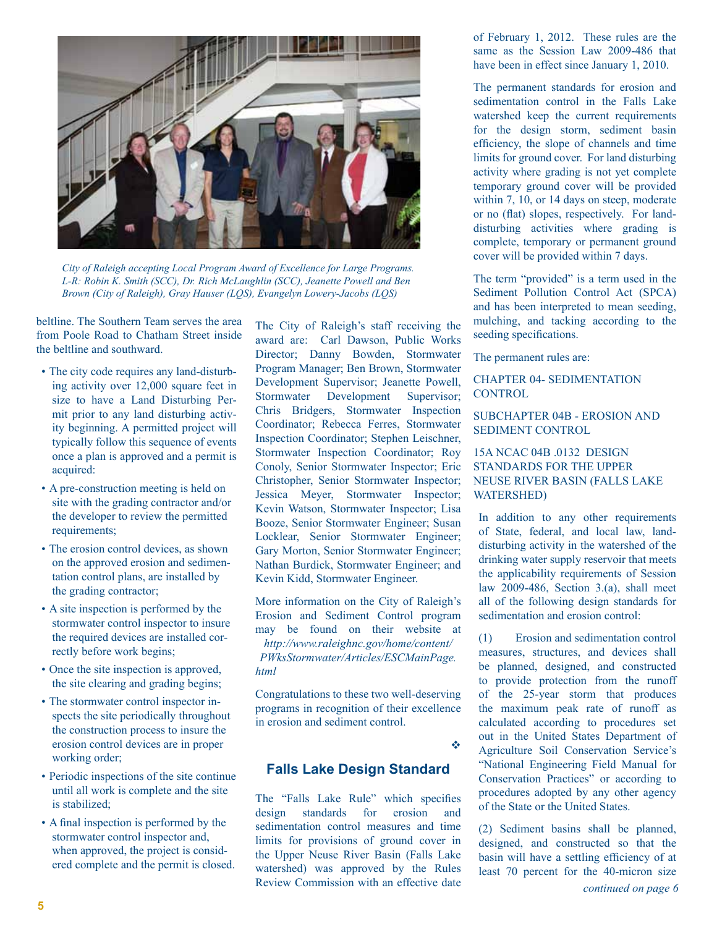

*City of Raleigh accepting Local Program Award of Excellence for Large Programs. L-R: Robin K. Smith (SCC), Dr. Rich McLaughlin (SCC), Jeanette Powell and Ben Brown (City of Raleigh), Gray Hauser (LQS), Evangelyn Lowery-Jacobs (LQS)* 

beltline. The Southern Team serves the area from Poole Road to Chatham Street inside the beltline and southward.

- The city code requires any land-disturbing activity over 12,000 square feet in size to have a Land Disturbing Permit prior to any land disturbing activity beginning. A permitted project will typically follow this sequence of events once a plan is approved and a permit is acquired:
- A pre-construction meeting is held on site with the grading contractor and/or the developer to review the permitted requirements;
- The erosion control devices, as shown on the approved erosion and sedimentation control plans, are installed by the grading contractor;
- A site inspection is performed by the stormwater control inspector to insure the required devices are installed correctly before work begins;
- Once the site inspection is approved, the site clearing and grading begins;
- The stormwater control inspector inspects the site periodically throughout the construction process to insure the erosion control devices are in proper working order;
- Periodic inspections of the site continue until all work is complete and the site is stabilized;
- A final inspection is performed by the stormwater control inspector and, when approved, the project is considered complete and the permit is closed.

The City of Raleigh's staff receiving the award are: Carl Dawson, Public Works Director; Danny Bowden, Stormwater Program Manager; Ben Brown, Stormwater Development Supervisor; Jeanette Powell, Stormwater Development Supervisor; Chris Bridgers, Stormwater Inspection Coordinator; Rebecca Ferres, Stormwater Inspection Coordinator; Stephen Leischner, Stormwater Inspection Coordinator; Roy Conoly, Senior Stormwater Inspector; Eric Christopher, Senior Stormwater Inspector; Jessica Meyer, Stormwater Inspector; Kevin Watson, Stormwater Inspector; Lisa Booze, Senior Stormwater Engineer; Susan Locklear, Senior Stormwater Engineer; Gary Morton, Senior Stormwater Engineer; Nathan Burdick, Stormwater Engineer; and Kevin Kidd, Stormwater Engineer.

More information on the City of Raleigh's Erosion and Sediment Control program may be found on their website at *[http://www.raleighnc.gov/home/content/](http://www.raleighnc.gov/home/content/PWksStormwater/Articles/ESCMainPage.html) [PWksStormwater/Articles/ESCMainPage.](http://www.raleighnc.gov/home/content/PWksStormwater/Articles/ESCMainPage.html) [html](http://www.raleighnc.gov/home/content/PWksStormwater/Articles/ESCMainPage.html)* 

Congratulations to these two well-deserving programs in recognition of their excellence in erosion and sediment control.

v

#### **Falls Lake Design Standard**

The "Falls Lake Rule" which specifies design standards for erosion and sedimentation control measures and time limits for provisions of ground cover in the Upper Neuse River Basin (Falls Lake watershed) was approved by the Rules Review Commission with an effective date

of February 1, 2012. These rules are the same as the Session Law 2009-486 that have been in effect since January 1, 2010.

The permanent standards for erosion and sedimentation control in the Falls Lake watershed keep the current requirements for the design storm, sediment basin efficiency, the slope of channels and time limits for ground cover. For land disturbing activity where grading is not yet complete temporary ground cover will be provided within 7, 10, or 14 days on steep, moderate or no (flat) slopes, respectively. For landdisturbing activities where grading is complete, temporary or permanent ground cover will be provided within 7 days.

The term "provided" is a term used in the Sediment Pollution Control Act (SPCA) and has been interpreted to mean seeding, mulching, and tacking according to the seeding specifications.

The permanent rules are:

#### CHAPTER 04- SEDIMENTATION **CONTROL**

#### SUBCHAPTER 04B - EROSION AND SEDIMENT CONTROL

#### 15A NCAC 04B .0132 DESIGN STANDARDS FOR THE UPPER NEUSE RIVER BASIN (FALLS LAKE WATERSHED)

In addition to any other requirements of State, federal, and local law, landdisturbing activity in the watershed of the drinking water supply reservoir that meets the applicability requirements of Session law 2009-486, Section 3.(a), shall meet all of the following design standards for sedimentation and erosion control:

(1) Erosion and sedimentation control measures, structures, and devices shall be planned, designed, and constructed to provide protection from the runoff of the 25-year storm that produces the maximum peak rate of runoff as calculated according to procedures set out in the United States Department of Agriculture Soil Conservation Service's "National Engineering Field Manual for Conservation Practices" or according to procedures adopted by any other agency of the State or the United States.

(2) Sediment basins shall be planned, designed, and constructed so that the basin will have a settling efficiency of at least 70 percent for the 40-micron size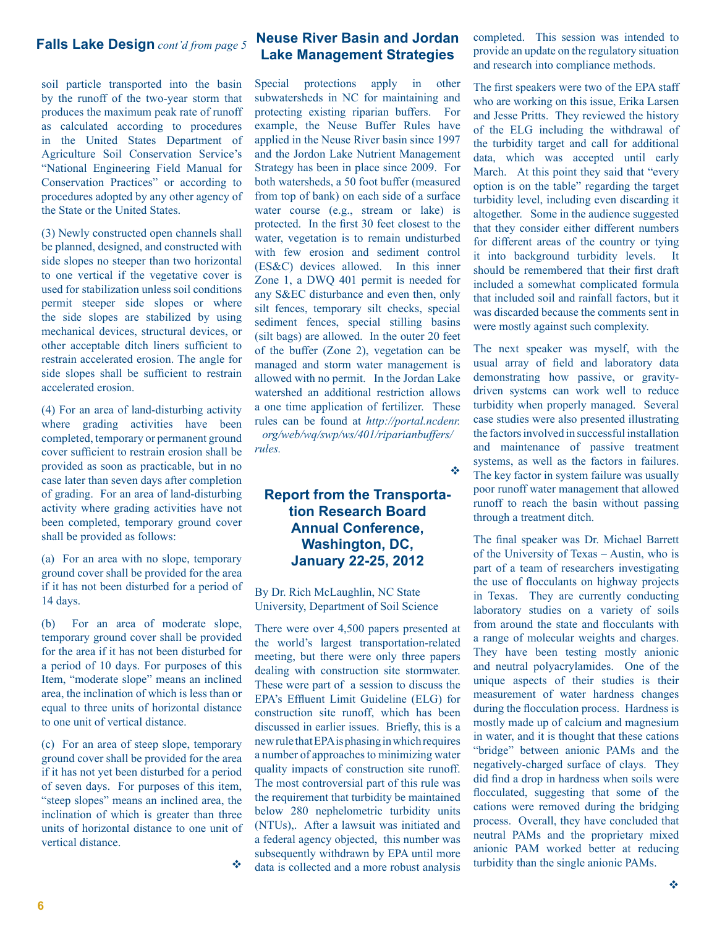soil particle transported into the basin by the runoff of the two-year storm that produces the maximum peak rate of runoff as calculated according to procedures in the United States Department of Agriculture Soil Conservation Service's "National Engineering Field Manual for Conservation Practices" or according to procedures adopted by any other agency of the State or the United States.

(3) Newly constructed open channels shall be planned, designed, and constructed with side slopes no steeper than two horizontal to one vertical if the vegetative cover is used for stabilization unless soil conditions permit steeper side slopes or where the side slopes are stabilized by using mechanical devices, structural devices, or other acceptable ditch liners sufficient to restrain accelerated erosion. The angle for side slopes shall be sufficient to restrain accelerated erosion.

(4) For an area of land-disturbing activity where grading activities have been completed, temporary or permanent ground cover sufficient to restrain erosion shall be provided as soon as practicable, but in no case later than seven days after completion of grading. For an area of land-disturbing activity where grading activities have not been completed, temporary ground cover shall be provided as follows:

(a) For an area with no slope, temporary ground cover shall be provided for the area if it has not been disturbed for a period of 14 days.

(b) For an area of moderate slope, temporary ground cover shall be provided for the area if it has not been disturbed for a period of 10 days. For purposes of this Item, "moderate slope" means an inclined area, the inclination of which is less than or equal to three units of horizontal distance to one unit of vertical distance.

(c) For an area of steep slope, temporary ground cover shall be provided for the area if it has not yet been disturbed for a period of seven days. For purposes of this item, "steep slopes" means an inclined area, the inclination of which is greater than three units of horizontal distance to one unit of vertical distance.

 $\frac{1}{2}$ 

#### **Neuse River Basin and Jordan Lake Management Strategies**

Special protections apply in other subwatersheds in NC for maintaining and protecting existing riparian buffers. For example, the Neuse Buffer Rules have applied in the Neuse River basin since 1997 and the Jordon Lake Nutrient Management Strategy has been in place since 2009. For both watersheds, a 50 foot buffer (measured from top of bank) on each side of a surface water course (e.g., stream or lake) is protected. In the first 30 feet closest to the water, vegetation is to remain undisturbed with few erosion and sediment control (ES&C) devices allowed. In this inner Zone 1, a DWQ 401 permit is needed for any S&EC disturbance and even then, only silt fences, temporary silt checks, special sediment fences, special stilling basins (silt bags) are allowed. In the outer 20 feet of the buffer (Zone 2), vegetation can be managed and storm water management is allowed with no permit. In the Jordan Lake watershed an additional restriction allows a one time application of fertilizer. These rules can be found at *[http://portal.ncdenr.](http://portal.ncdenr.org/web/wq/swp/ws/401/riparianbuffers/rules) [org/web/wq/swp/ws/401/riparianbuffers/](http://portal.ncdenr.org/web/wq/swp/ws/401/riparianbuffers/rules) [rules.](http://portal.ncdenr.org/web/wq/swp/ws/401/riparianbuffers/rules)*

v

#### **Report from the Transportation Research Board Annual Conference, Washington, DC, January 22-25, 2012**

By Dr. Rich McLaughlin, NC State University, Department of Soil Science

There were over 4,500 papers presented at the world's largest transportation-related meeting, but there were only three papers dealing with construction site stormwater. These were part of a session to discuss the EPA's Effluent Limit Guideline (ELG) for construction site runoff, which has been discussed in earlier issues. Briefly, this is a new rule that EPA is phasing in which requires a number of approaches to minimizing water quality impacts of construction site runoff. The most controversial part of this rule was the requirement that turbidity be maintained below 280 nephelometric turbidity units (NTUs),. After a lawsuit was initiated and a federal agency objected, this number was subsequently withdrawn by EPA until more data is collected and a more robust analysis

**Falls Lake Design** cont'd from page 5 **Neuse River Basin and Jordan** completed. This session was intended to provide an update on the regulatory situation and research into compliance methods.

> The first speakers were two of the EPA staff who are working on this issue, Erika Larsen and Jesse Pritts. They reviewed the history of the ELG including the withdrawal of the turbidity target and call for additional data, which was accepted until early March. At this point they said that "every option is on the table" regarding the target turbidity level, including even discarding it altogether. Some in the audience suggested that they consider either different numbers for different areas of the country or tying it into background turbidity levels. It should be remembered that their first draft included a somewhat complicated formula that included soil and rainfall factors, but it was discarded because the comments sent in were mostly against such complexity.

> The next speaker was myself, with the usual array of field and laboratory data demonstrating how passive, or gravitydriven systems can work well to reduce turbidity when properly managed. Several case studies were also presented illustrating the factors involved in successful installation and maintenance of passive treatment systems, as well as the factors in failures. The key factor in system failure was usually poor runoff water management that allowed runoff to reach the basin without passing through a treatment ditch.

> The final speaker was Dr. Michael Barrett of the University of Texas – Austin, who is part of a team of researchers investigating the use of flocculants on highway projects in Texas. They are currently conducting laboratory studies on a variety of soils from around the state and flocculants with a range of molecular weights and charges. They have been testing mostly anionic and neutral polyacrylamides. One of the unique aspects of their studies is their measurement of water hardness changes during the flocculation process. Hardness is mostly made up of calcium and magnesium in water, and it is thought that these cations "bridge" between anionic PAMs and the negatively-charged surface of clays. They did find a drop in hardness when soils were flocculated, suggesting that some of the cations were removed during the bridging process. Overall, they have concluded that neutral PAMs and the proprietary mixed anionic PAM worked better at reducing turbidity than the single anionic PAMs.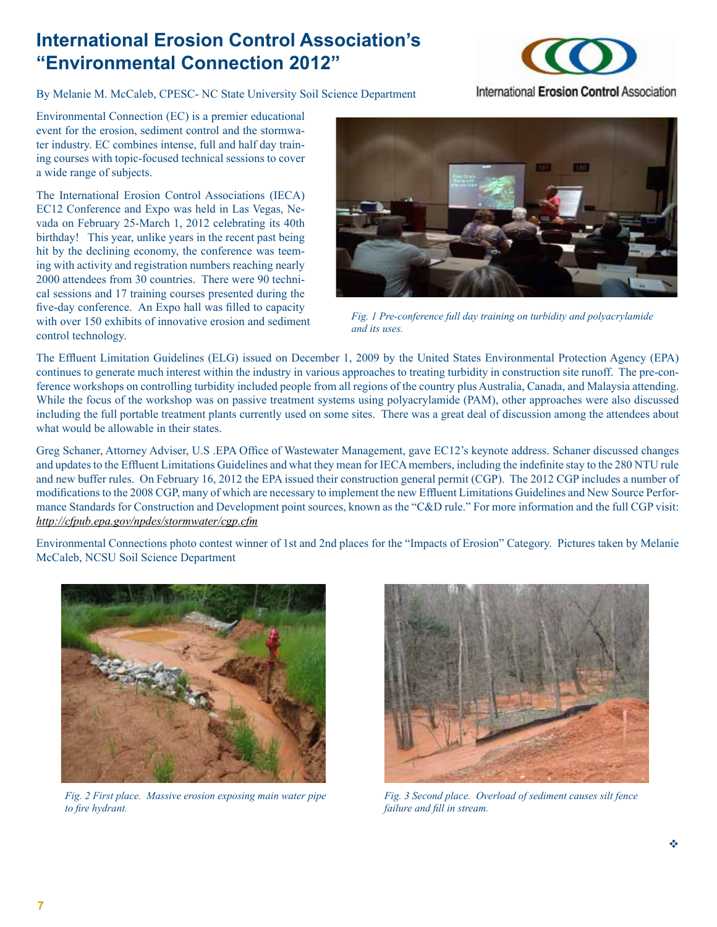# **International Erosion Control Association's "Environmental Connection 2012"**

By Melanie M. McCaleb, CPESC- NC State University Soil Science Department



Environmental Connection (EC) is a premier educational event for the erosion, sediment control and the stormwater industry. EC combines intense, full and half day training courses with topic-focused technical sessions to cover a wide range of subjects.

The International Erosion Control Associations (IECA) EC12 Conference and Expo was held in Las Vegas, Nevada on February 25-March 1, 2012 celebrating its 40th birthday! This year, unlike years in the recent past being hit by the declining economy, the conference was teeming with activity and registration numbers reaching nearly 2000 attendees from 30 countries. There were 90 technical sessions and 17 training courses presented during the five-day conference. An Expo hall was filled to capacity with over 150 exhibits of innovative erosion and sediment control technology.



*Fig. 1 Pre-conference full day training on turbidity and polyacrylamide and its uses.*

The Effluent Limitation Guidelines (ELG) issued on December 1, 2009 by the United States Environmental Protection Agency (EPA) continues to generate much interest within the industry in various approaches to treating turbidity in construction site runoff. The pre-conference workshops on controlling turbidity included people from all regions of the country plus Australia, Canada, and Malaysia attending. While the focus of the workshop was on passive treatment systems using polyacrylamide (PAM), other approaches were also discussed including the full portable treatment plants currently used on some sites. There was a great deal of discussion among the attendees about what would be allowable in their states.

Greg Schaner, Attorney Adviser, U.S .EPA Office of Wastewater Management, gave EC12's keynote address. Schaner discussed changes and updates to the Effluent Limitations Guidelines and what they mean for IECA members, including the indefinite stay to the 280 NTU rule and new buffer rules. On February 16, 2012 the EPA issued their construction general permit (CGP). The 2012 CGP includes a number of modifications to the 2008 CGP, many of which are necessary to implement the new Effluent Limitations Guidelines and New Source Performance Standards for Construction and Development point sources, known as the "C&D rule." For more information and the full CGP visit: *<http://cfpub.epa.gov/npdes/stormwater/cgp.cfm>*



Environmental Connections photo contest winner of 1st and 2nd places for the "Impacts of Erosion" Category. Pictures taken by Melanie McCaleb, NCSU Soil Science Department

*Fig. 2 First place. Massive erosion exposing main water pipe to fire hydrant.*



*Fig. 3 Second place. Overload of sediment causes silt fence failure and fill in stream.*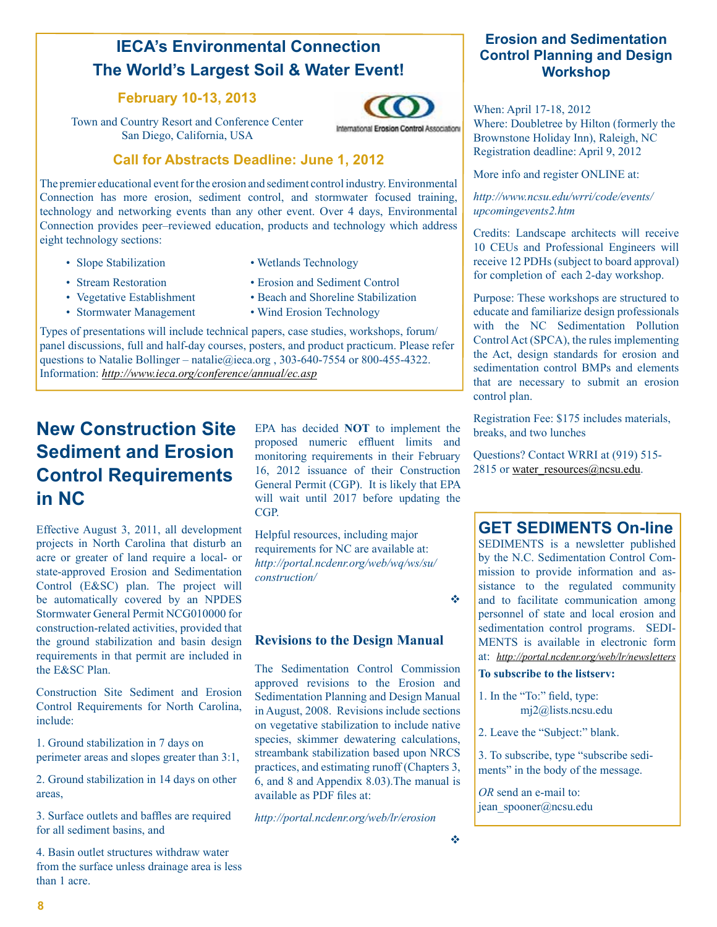# **IECA's Environmental Connection The World's Largest Soil & Water Event!**

#### **February 10-13, 2013**

Town and Country Resort and Conference Center San Diego, California, USA



#### **Call for Abstracts Deadline: June 1, 2012**

The premier educational event for the erosion and sediment control industry. Environmental Connection has more erosion, sediment control, and stormwater focused training, technology and networking events than any other event. Over 4 days, Environmental Connection provides peer–reviewed education, products and technology which address eight technology sections:

- 
- Slope Stabilization Wetlands Technology
- 
- 
- 
- Stormwater Management Wind Erosion Technology
- Stream Restoration Erosion and Sediment Control
- Vegetative Establishment Beach and Shoreline Stabilization
	-

Types of presentations will include technical papers, case studies, workshops, forum/ panel discussions, full and half-day courses, posters, and product practicum. Please refer questions to Natalie Bollinger – natalie@ieca.org, 303-640-7554 or 800-455-4322. Information: *<http://www.ieca.org/conference/annual/ec.asp>*

# **New Construction Site Sediment and Erosion Control Requirements in NC**

Effective August 3, 2011, all development projects in North Carolina that disturb an acre or greater of land require a local- or state-approved Erosion and Sedimentation Control (E&SC) plan. The project will be automatically covered by an NPDES Stormwater General Permit NCG010000 for construction-related activities, provided that the ground stabilization and basin design requirements in that permit are included in the E&SC Plan.

Construction Site Sediment and Erosion Control Requirements for North Carolina, include:

1. Ground stabilization in 7 days on perimeter areas and slopes greater than 3:1,

2. Ground stabilization in 14 days on other areas,

3. Surface outlets and baffles are required for all sediment basins, and

4. Basin outlet structures withdraw water from the surface unless drainage area is less than 1 acre.

EPA has decided **NOT** to implement the proposed numeric effluent limits and monitoring requirements in their February 16, 2012 issuance of their Construction General Permit (CGP). It is likely that EPA will wait until 2017 before updating the CGP.

Helpful resources, including major requirements for NC are available at: *[http://portal.ncdenr.org/web/wq/ws/su/](http://portal.ncdenr.org/web/wq/ws/su/construction/) [construction/](http://portal.ncdenr.org/web/wq/ws/su/construction/)*

v

#### **Revisions to the Design Manual**

The Sedimentation Control Commission approved revisions to the Erosion and Sedimentation Planning and Design Manual in August, 2008. Revisions include sections on vegetative stabilization to include native species, skimmer dewatering calculations, streambank stabilization based upon NRCS practices, and estimating runoff (Chapters 3, 6, and 8 and Appendix 8.03).The manual is available as PDF files at:

*<http://portal.ncdenr.org/web/lr/erosion>*

#### **Erosion and Sedimentation Control Planning and Design Workshop**

When: April 17-18, 2012

Where: Doubletree by Hilton (formerly the Brownstone Holiday Inn), Raleigh, NC Registration deadline: April 9, 2012

More info and register ONLINE at:

*[http://www.ncsu.edu/wrri/code/events/](http://www.ncsu.edu/wrri/code/events/upcomingevents2.htm) [upcomingevents2.htm](http://www.ncsu.edu/wrri/code/events/upcomingevents2.htm)*

Credits: Landscape architects will receive 10 CEUs and Professional Engineers will receive 12 PDHs (subject to board approval) for completion of each 2-day workshop.

Purpose: These workshops are structured to educate and familiarize design professionals with the NC Sedimentation Pollution Control Act (SPCA), the rules implementing the Act, design standards for erosion and sedimentation control BMPs and elements that are necessary to submit an erosion control plan.

Registration Fee: \$175 includes materials, breaks, and two lunches

Questions? Contact WRRI at (919) 515- 2815 or water  $resources@ncsu.edu$ .

## **GET SEDIMENTS On-line**

SEDIMENTS is a newsletter published by the N.C. Sedimentation Control Commission to provide information and assistance to the regulated community and to facilitate communication among personnel of state and local erosion and sedimentation control programs. SEDI-MENTS is available in electronic form at: *<http://portal.ncdenr.org/web/lr/newsletters>*

#### **To subscribe to the listserv:**

- 1. In the "To:" field, type: [mj2@lists.ncsu.edu](mailto:mj2@lists.ncsu.edu)
- 2. Leave the "Subject:" blank.

3. To subscribe, type "subscribe sediments" in the body of the message.

*OR* send an e-mail to: jean spooner[@ncsu.edu](mailto:bonnie_kurth@ncsu.edu)

International Erosion Control Associations